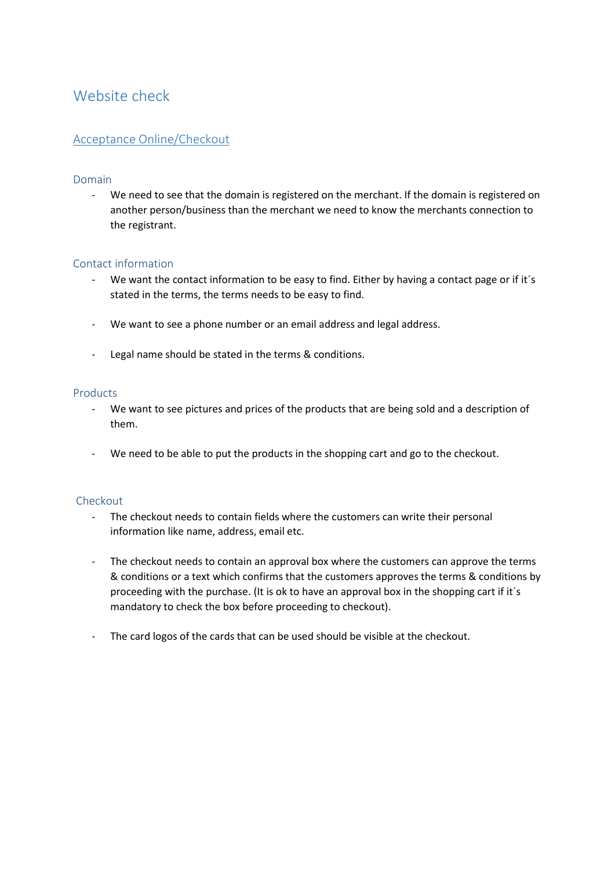# Website check

## Acceptance Online/Checkout

## Domain

- We need to see that the domain is registered on the merchant. If the domain is registered on another person/business than the merchant we need to know the merchants connection to the registrant.

## Contact information

- We want the contact information to be easy to find. Either by having a contact page or if it's stated in the terms, the terms needs to be easy to find.
- We want to see a phone number or an email address and legal address.
- Legal name should be stated in the terms & conditions.

#### Products

- We want to see pictures and prices of the products that are being sold and a description of them.
- We need to be able to put the products in the shopping cart and go to the checkout.

#### Checkout

- The checkout needs to contain fields where the customers can write their personal information like name, address, email etc.
- The checkout needs to contain an approval box where the customers can approve the terms & conditions or a text which confirms that the customers approves the terms & conditions by proceeding with the purchase. (It is ok to have an approval box in the shopping cart if it´s mandatory to check the box before proceeding to checkout).
- The card logos of the cards that can be used should be visible at the checkout.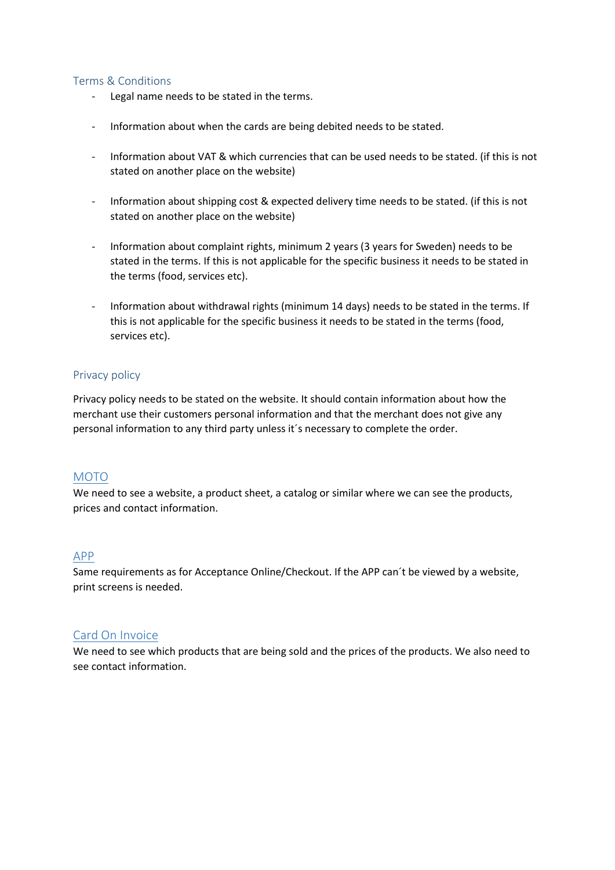## Terms & Conditions

- Legal name needs to be stated in the terms.
- Information about when the cards are being debited needs to be stated.
- Information about VAT & which currencies that can be used needs to be stated. (if this is not stated on another place on the website)
- Information about shipping cost & expected delivery time needs to be stated. (if this is not stated on another place on the website)
- Information about complaint rights, minimum 2 years (3 years for Sweden) needs to be stated in the terms. If this is not applicable for the specific business it needs to be stated in the terms (food, services etc).
- Information about withdrawal rights (minimum 14 days) needs to be stated in the terms. If this is not applicable for the specific business it needs to be stated in the terms (food, services etc).

#### Privacy policy

Privacy policy needs to be stated on the website. It should contain information about how the merchant use their customers personal information and that the merchant does not give any personal information to any third party unless it´s necessary to complete the order.

## MOTO

We need to see a website, a product sheet, a catalog or similar where we can see the products, prices and contact information.

## APP

Same requirements as for Acceptance Online/Checkout. If the APP can´t be viewed by a website, print screens is needed.

#### Card On Invoice

We need to see which products that are being sold and the prices of the products. We also need to see contact information.